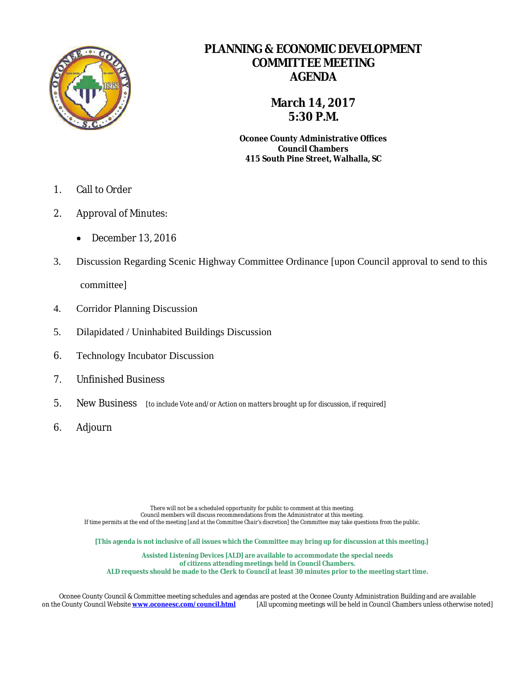

### **PLANNING & ECONOMIC DEVELOPMENT COMMITTEE MEETING AGENDA**

### **March 14, 2017 5:30 P.M.**

**Oconee County Administrative Offices Council Chambers 415 South Pine Street, Walhalla, SC**

- 1. Call to Order
- 2. Approval of Minutes:
	- December 13, 2016
- 3. Discussion Regarding Scenic Highway Committee Ordinance [upon Council approval to send to this committee]
- 4. Corridor Planning Discussion
- 5. Dilapidated / Uninhabited Buildings Discussion
- 6. Technology Incubator Discussion
- 7. Unfinished Business
- 5. New Business [*to include Vote and/or Action on matters brought up for discussion, if required*]
- 6. Adjourn

There will not be a scheduled opportunity for public to comment at this meeting. Council members will discuss recommendations from the Administrator at this meeting. If time permits at the end of the meeting *[and at the Committee Chair's discretion]* the Committee may take questions from the public.

**[This agenda is not inclusive of all issues which the Committee may bring up for discussion at this meeting.]**

**Assisted Listening Devices [ALD] are available to accommodate the special needs of citizens attending meetings held in Council Chambers. ALD requests should be made to the Clerk to Council at least 30 minutes prior to the meeting start time.**

Oconee County Council & Committee meeting schedules and agendas are posted at the Oconee County Administration Building and are available<br>On the County Council Website www.oconeesc.com/council.html [All upcoming meetings w [All upcoming meetings will be held in Council Chambers unless otherwise noted]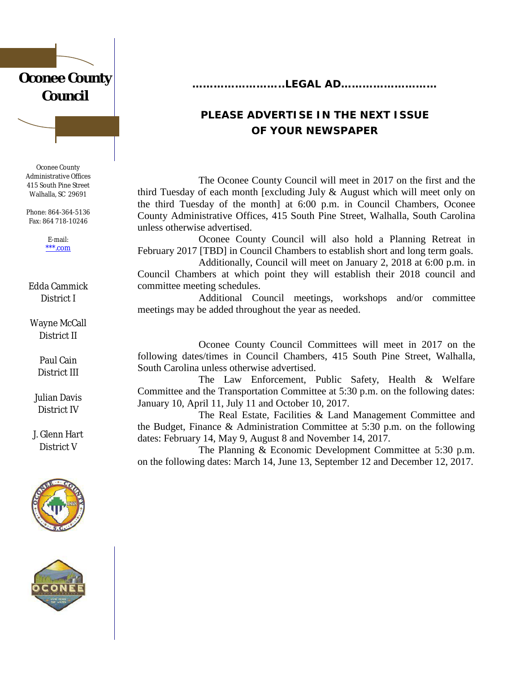## **Oconee County Council**

Oconee County Administrative Offices 415 South Pine Street Walhalla, SC 29691

Phone: 864-364-5136 Fax: 864 718-10246

> E-mail: [\\*\\*\\*.com](mailto:bhulse@oconeesc.com)

#### Edda Cammick District I

Wayne McCall District II

> Paul Cain District III

Julian Davis District IV

J. Glenn Hart District V





**……………………..LEGAL AD………………………**

### **PLEASE ADVERTISE IN THE NEXT ISSUE OF YOUR NEWSPAPER**

The Oconee County Council will meet in 2017 on the first and the third Tuesday of each month [excluding July & August which will meet only on the third Tuesday of the month] at 6:00 p.m. in Council Chambers, Oconee County Administrative Offices, 415 South Pine Street, Walhalla, South Carolina unless otherwise advertised.

Oconee County Council will also hold a Planning Retreat in February 2017 [TBD] in Council Chambers to establish short and long term goals.

Additionally, Council will meet on January 2, 2018 at 6:00 p.m. in Council Chambers at which point they will establish their 2018 council and committee meeting schedules.

Additional Council meetings, workshops and/or committee meetings may be added throughout the year as needed.

Oconee County Council Committees will meet in 2017 on the following dates/times in Council Chambers, 415 South Pine Street, Walhalla, South Carolina unless otherwise advertised.

The Law Enforcement, Public Safety, Health & Welfare Committee and the Transportation Committee at 5:30 p.m. on the following dates: January 10, April 11, July 11 and October 10, 2017.

The Real Estate, Facilities & Land Management Committee and the Budget, Finance & Administration Committee at 5:30 p.m. on the following dates: February 14, May 9, August 8 and November 14, 2017.

The Planning & Economic Development Committee at 5:30 p.m. on the following dates: March 14, June 13, September 12 and December 12, 2017.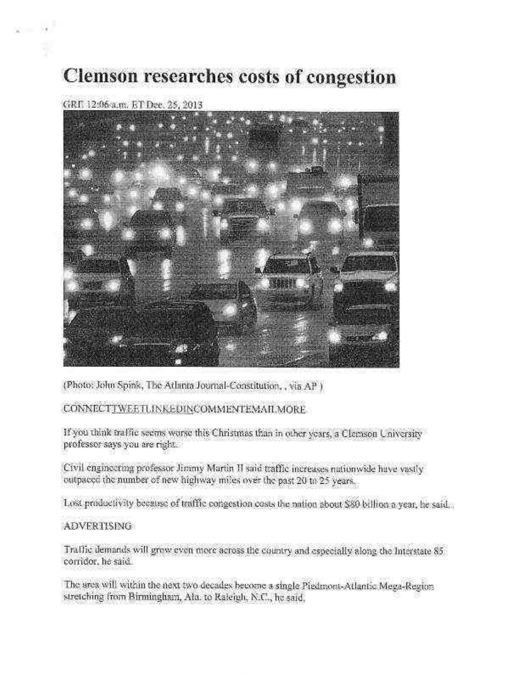## **Clemson researches costs of congestion**

### GRE 12:06 a.m. ET Dec. 25, 2013

 $x = x^2$ 



(Photo: John Spink, The Atlanta Journal-Constitution, , via AP)

#### CONNECTTWEETLINKEDINCOMMENTEMAILMORE

If you think traffic seems worse this Christmas than in other years, a Clemson University professor says you are right.

Civil engineering professor Jimmy Martin II said traffic increases nationwide have vastly outpaced the number of new highway miles over the past 20 to 25 years.

Lost productivity because of traffic congestion costs the nation about \$89 billion a year, he said...

#### **ADVERTISING**

Traffic demands will grow even more across the country and especially along the Interstate 85 corridor, he said.

The area will within the next two decades become a single Piedmont-Atlantic Mega-Region stretching from Birmingham, Ala. to Raleigh, N.C., he said.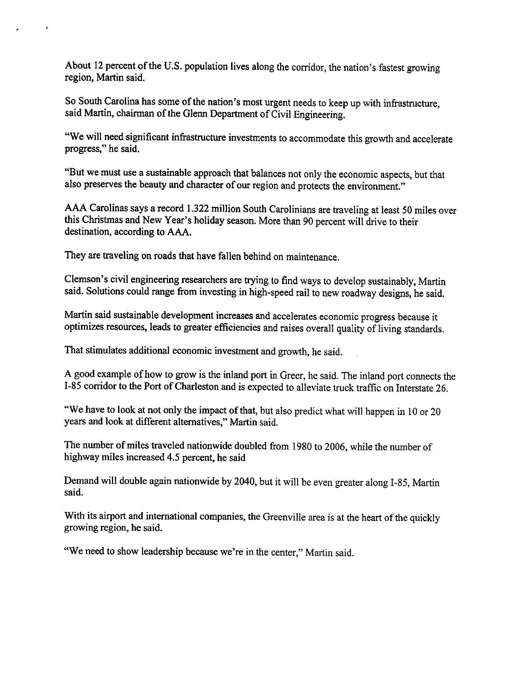About 12 percent of the U.S. population lives along the corridor, the nation's fastest growing region, Martin said.

So South Carolina has some of the nation's most urgent needs to keep up with infrastructure, said Martin, chairman of the Glenn Department of Civil Engineering.

"We will need significant infrastructure investments to accommodate this growth and accelerate progress," he said.

"But we must use a sustainable approach that balances not only the economic aspects, but that also preserves the beauty and character of our region and protects the environment."

AAA Carolinas says a record 1.322 million South Carolinians are traveling at least 50 miles over this Christmas and New Year's holiday season. More than 90 percent will drive to their destination, according to AAA.

They are traveling on roads that have fallen behind on maintenance.

 $\sim$   $\lambda$ 

Clemson's civil engineering researchers are trying to find ways to develop sustainably, Martin said. Solutions could range from investing in high-speed rail to new roadway designs, he said.

Martin said sustainable development increases and accelerates economic progress because it optimizes resources, leads to greater efficiencies and raises overall quality of living standards.

That stimulates additional economic investment and growth, he said.

A good example of how to grow is the inland port in Greer, he said. The inland port connects the I-85 corridor to the Port of Charleston and is expected to alleviate truck traffic on Interstate 26.

"We have to look at not only the impact of that, but also predict what will happen in 10 or 20 years and look at different alternatives," Martin said.

The number of miles traveled nationwide doubled from 1980 to 2006, while the number of highway miles increased 4.5 percent, he said

Demand will double again nationwide by 2040, but it will be even greater along I-85, Martin said.

With its airport and international companies, the Greenville area is at the heart of the quickly growing region, he said.

"We need to show leadership because we're in the center," Martin said.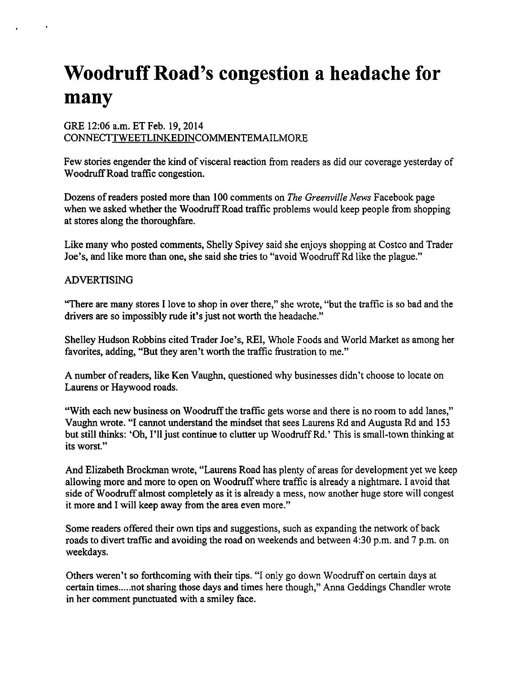# **Woodruff Road's congestion a headache for** many

#### GRE 12:06 a.m. ET Feb. 19, 2014 CONNECTTWEETLINKEDINCOMMENTEMAILMORE

Few stories engender the kind of visceral reaction from readers as did our coverage yesterday of Woodruff Road traffic congestion.

Dozens of readers posted more than 100 comments on The Greenville News Facebook page when we asked whether the Woodruff Road traffic problems would keep people from shopping at stores along the thoroughfare.

Like many who posted comments, Shelly Spivey said she enjoys shopping at Costco and Trader Joe's, and like more than one, she said she tries to "avoid Woodruff Rd like the plague."

#### **ADVERTISING**

"There are many stores I love to shop in over there," she wrote, "but the traffic is so bad and the drivers are so impossibly rude it's just not worth the headache."

Shelley Hudson Robbins cited Trader Joe's, REI, Whole Foods and World Market as among her favorites, adding, "But they aren't worth the traffic frustration to me."

A number of readers, like Ken Vaughn, questioned why businesses didn't choose to locate on Laurens or Haywood roads.

"With each new business on Woodruff the traffic gets worse and there is no room to add lanes," Vaughn wrote. "I cannot understand the mindset that sees Laurens Rd and Augusta Rd and 153 but still thinks: 'Oh, I'll just continue to clutter up Woodruff Rd.' This is small-town thinking at its worst."

And Elizabeth Brockman wrote, "Laurens Road has plenty of areas for development yet we keep allowing more and more to open on Woodruff where traffic is already a nightmare. I avoid that side of Woodruff almost completely as it is already a mess, now another huge store will congest it more and I will keep away from the area even more."

Some readers offered their own tips and suggestions, such as expanding the network of back roads to divert traffic and avoiding the road on weekends and between 4:30 p.m. and 7 p.m. on weekdays.

Others weren't so forthcoming with their tips. "I only go down Woodruff on certain days at certain times.....not sharing those days and times here though," Anna Geddings Chandler wrote in her comment punctuated with a smiley face.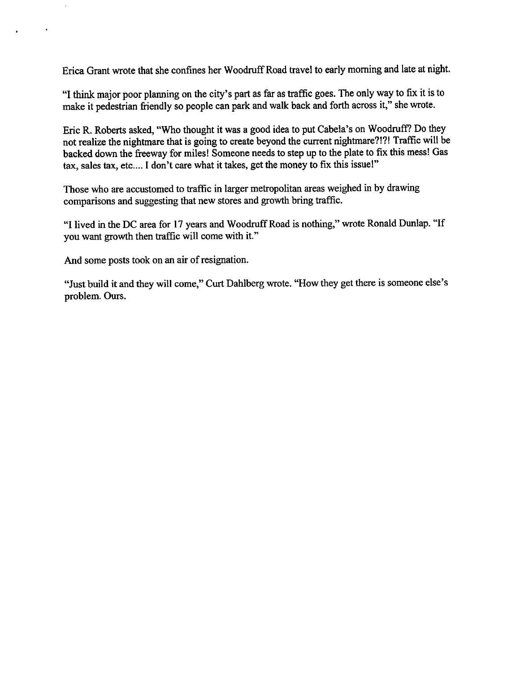Erica Grant wrote that she confines her Woodruff Road travel to early morning and late at night.

"I think major poor planning on the city's part as far as traffic goes. The only way to fix it is to make it pedestrian friendly so people can park and walk back and forth across it," she wrote.

Eric R. Roberts asked, "Who thought it was a good idea to put Cabela's on Woodruff? Do they not realize the nightmare that is going to create beyond the current nightmare?!?! Traffic will be backed down the freeway for miles! Someone needs to step up to the plate to fix this mess! Gas tax, sales tax, etc.... I don't care what it takes, get the money to fix this issue!"

Those who are accustomed to traffic in larger metropolitan areas weighed in by drawing comparisons and suggesting that new stores and growth bring traffic.

"I lived in the DC area for 17 years and Woodruff Road is nothing," wrote Ronald Dunlap. "If you want growth then traffic will come with it."

And some posts took on an air of resignation.

 $\Box$ 

 $\bullet$ 

"Just build it and they will come," Curt Dahlberg wrote. "How they get there is someone else's problem. Ours.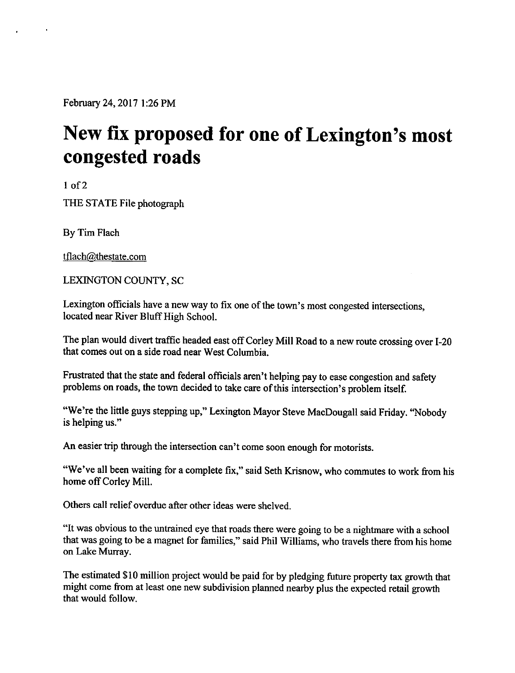February 24, 2017 1:26 PM

# New fix proposed for one of Lexington's most congested roads

 $1$  of  $2$ 

THE STATE File photograph

By Tim Flach

tflach@thestate.com

LEXINGTON COUNTY, SC

Lexington officials have a new way to fix one of the town's most congested intersections, located near River Bluff High School.

The plan would divert traffic headed east off Corley Mill Road to a new route crossing over I-20 that comes out on a side road near West Columbia.

Frustrated that the state and federal officials aren't helping pay to ease congestion and safety problems on roads, the town decided to take care of this intersection's problem itself.

"We're the little guys stepping up," Lexington Mayor Steve MacDougall said Friday. "Nobody is helping us."

An easier trip through the intersection can't come soon enough for motorists.

"We've all been waiting for a complete fix," said Seth Krisnow, who commutes to work from his home off Corley Mill.

Others call relief overdue after other ideas were shelved

"It was obvious to the untrained eye that roads there were going to be a nightmare with a school that was going to be a magnet for families," said Phil Williams, who travels there from his home on Lake Murray.

The estimated \$10 million project would be paid for by pledging future property tax growth that might come from at least one new subdivision planned nearby plus the expected retail growth that would follow.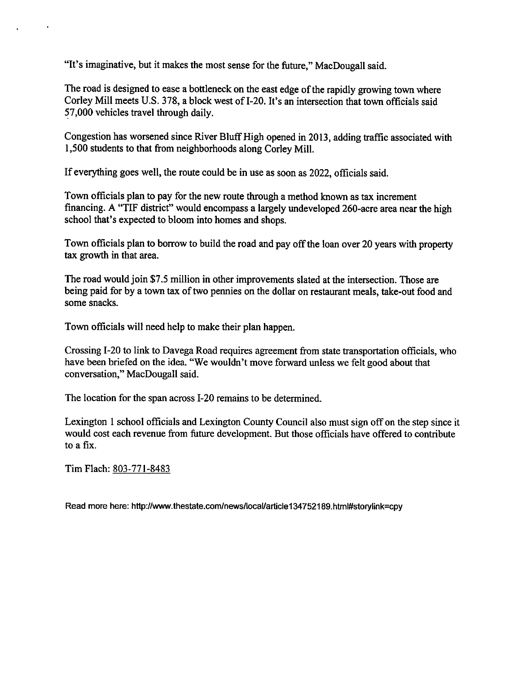"It's imaginative, but it makes the most sense for the future," MacDougall said.

The road is designed to ease a bottleneck on the east edge of the rapidly growing town where Corley Mill meets U.S. 378, a block west of I-20. It's an intersection that town officials said 57,000 vehicles travel through daily.

Congestion has worsened since River Bluff High opened in 2013, adding traffic associated with 1,500 students to that from neighborhoods along Corley Mill.

If everything goes well, the route could be in use as soon as 2022, officials said.

Town officials plan to pay for the new route through a method known as tax increment financing. A "TIF district" would encompass a largely undeveloped 260-acre area near the high school that's expected to bloom into homes and shops.

Town officials plan to borrow to build the road and pay off the loan over 20 years with property tax growth in that area.

The road would join \$7.5 million in other improvements slated at the intersection. Those are being paid for by a town tax of two pennies on the dollar on restaurant meals, take-out food and some snacks.

Town officials will need help to make their plan happen.

Crossing I-20 to link to Davega Road requires agreement from state transportation officials, who have been briefed on the idea. "We wouldn't move forward unless we felt good about that conversation," MacDougall said.

The location for the span across I-20 remains to be determined.

Lexington 1 school officials and Lexington County Council also must sign off on the step since it would cost each revenue from future development. But those officials have offered to contribute to a  $fix$ .

Tim Flach: 803-771-8483

Read more here: http://www.thestate.com/news/local/article134752189.html#storylink=cpy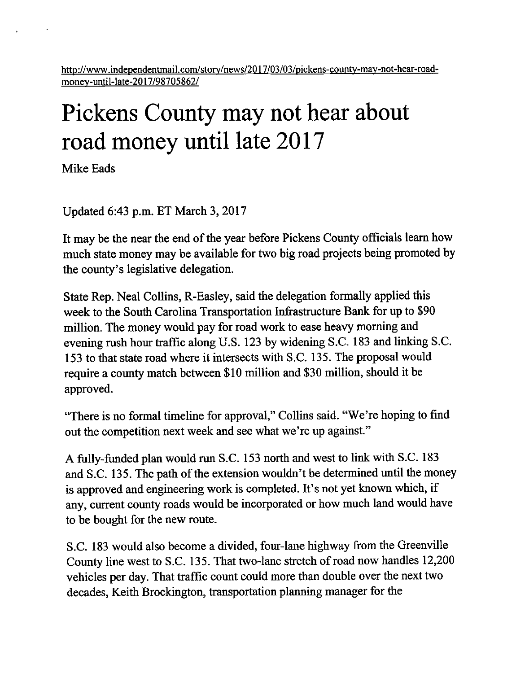http://www.independentmail.com/story/news/2017/03/03/pickens-county-may-not-hear-roadmoney-until-late-2017/98705862/

# Pickens County may not hear about road money until late 2017

Mike Eads

Updated 6:43 p.m. ET March 3, 2017

It may be the near the end of the year before Pickens County officials learn how much state money may be available for two big road projects being promoted by the county's legislative delegation.

State Rep. Neal Collins, R-Easley, said the delegation formally applied this week to the South Carolina Transportation Infrastructure Bank for up to \$90 million. The money would pay for road work to ease heavy morning and evening rush hour traffic along U.S. 123 by widening S.C. 183 and linking S.C. 153 to that state road where it intersects with S.C. 135. The proposal would require a county match between \$10 million and \$30 million, should it be approved.

"There is no formal timeline for approval," Collins said. "We're hoping to find out the competition next week and see what we're up against."

A fully-funded plan would run S.C. 153 north and west to link with S.C. 183 and S.C. 135. The path of the extension wouldn't be determined until the money is approved and engineering work is completed. It's not yet known which, if any, current county roads would be incorporated or how much land would have to be bought for the new route.

S.C. 183 would also become a divided, four-lane highway from the Greenville County line west to S.C. 135. That two-lane stretch of road now handles 12,200 vehicles per day. That traffic count could more than double over the next two decades, Keith Brockington, transportation planning manager for the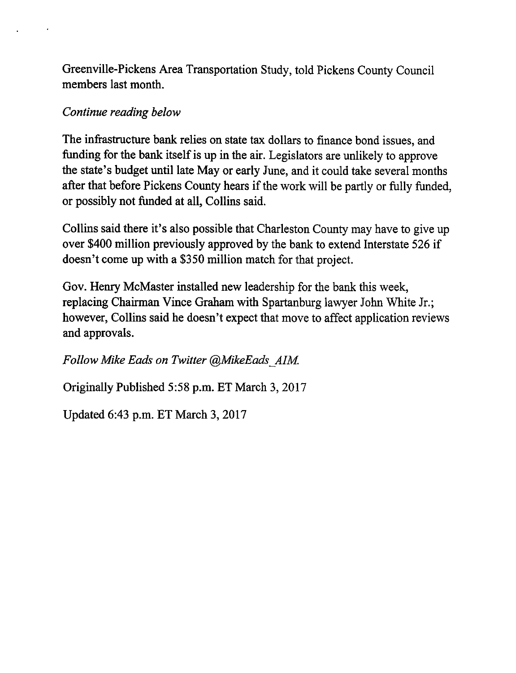Greenville-Pickens Area Transportation Study, told Pickens County Council members last month.

### Continue reading below

The infrastructure bank relies on state tax dollars to finance bond issues, and funding for the bank itself is up in the air. Legislators are unlikely to approve the state's budget until late May or early June, and it could take several months after that before Pickens County hears if the work will be partly or fully funded, or possibly not funded at all, Collins said.

Collins said there it's also possible that Charleston County may have to give up over \$400 million previously approved by the bank to extend Interstate 526 if doesn't come up with a \$350 million match for that project.

Gov. Henry McMaster installed new leadership for the bank this week, replacing Chairman Vince Graham with Spartanburg lawyer John White Jr.; however, Collins said he doesn't expect that move to affect application reviews and approvals.

Follow Mike Eads on Twitter @MikeEads AIM.

Originally Published 5:58 p.m. ET March 3, 2017

Updated 6:43 p.m. ET March 3, 2017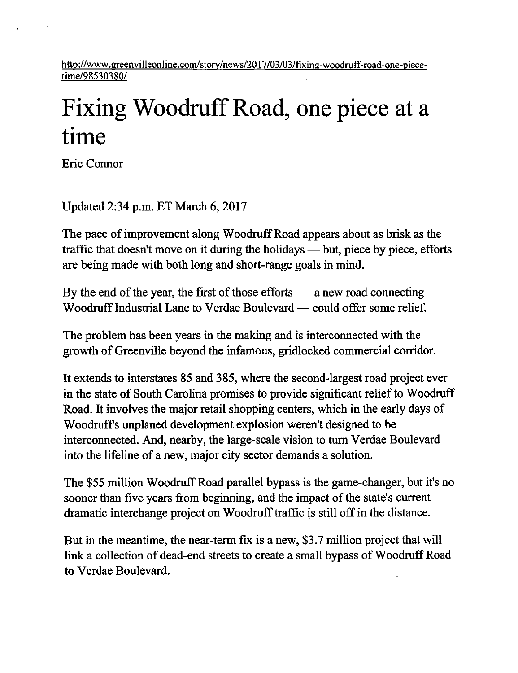http://www.greenvilleonline.com/story/news/2017/03/03/fixing-woodruff-road-one-piecetime/98530380/

# Fixing Woodruff Road, one piece at a time

**Eric Connor** 

Updated 2:34 p.m. ET March  $6, 2017$ 

The pace of improvement along Woodruff Road appears about as brisk as the traffic that doesn't move on it during the holidays — but, piece by piece, efforts are being made with both long and short-range goals in mind.

By the end of the year, the first of those efforts  $-$  a new road connecting Woodruff Industrial Lane to Verdae Boulevard — could offer some relief.

The problem has been years in the making and is interconnected with the growth of Greenville beyond the infamous, gridlocked commercial corridor.

It extends to interstates 85 and 385, where the second-largest road project ever in the state of South Carolina promises to provide significant relief to Woodruff Road. It involves the major retail shopping centers, which in the early days of Woodruff's unplaned development explosion weren't designed to be interconnected. And, nearby, the large-scale vision to turn Verdae Boulevard into the lifeline of a new, major city sector demands a solution.

The \$55 million Woodruff Road parallel bypass is the game-changer, but it's no sooner than five years from beginning, and the impact of the state's current dramatic interchange project on Woodruff traffic is still off in the distance.

But in the meantime, the near-term fix is a new, \$3.7 million project that will link a collection of dead-end streets to create a small bypass of Woodruff Road to Verdae Boulevard.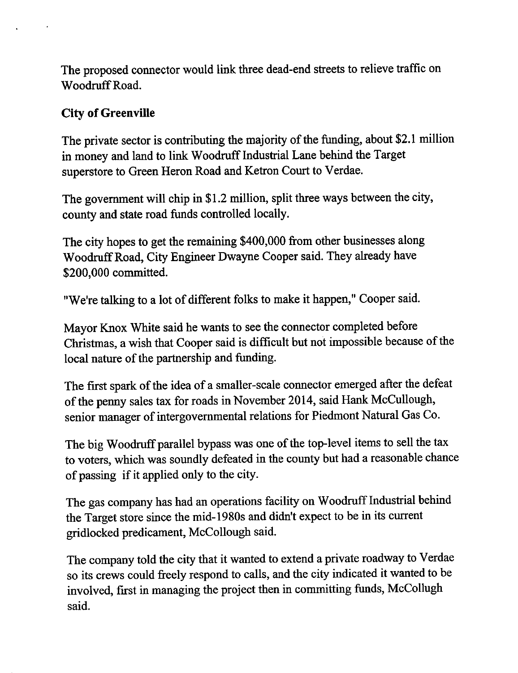The proposed connector would link three dead-end streets to relieve traffic on Woodruff Road.

### **City of Greenville**

The private sector is contributing the majority of the funding, about \$2.1 million in money and land to link Woodruff Industrial Lane behind the Target superstore to Green Heron Road and Ketron Court to Verdae.

The government will chip in \$1.2 million, split three ways between the city, county and state road funds controlled locally.

The city hopes to get the remaining \$400,000 from other businesses along Woodruff Road, City Engineer Dwayne Cooper said. They already have \$200,000 committed.

"We're talking to a lot of different folks to make it happen," Cooper said.

Mayor Knox White said he wants to see the connector completed before Christmas, a wish that Cooper said is difficult but not impossible because of the local nature of the partnership and funding.

The first spark of the idea of a smaller-scale connector emerged after the defeat of the penny sales tax for roads in November 2014, said Hank McCullough, senior manager of intergovernmental relations for Piedmont Natural Gas Co.

The big Woodruff parallel bypass was one of the top-level items to sell the tax to voters, which was soundly defeated in the county but had a reasonable chance of passing if it applied only to the city.

The gas company has had an operations facility on Woodruff Industrial behind the Target store since the mid-1980s and didn't expect to be in its current gridlocked predicament, McCollough said.

The company told the city that it wanted to extend a private roadway to Verdae so its crews could freely respond to calls, and the city indicated it wanted to be involved, first in managing the project then in committing funds, McCollugh said.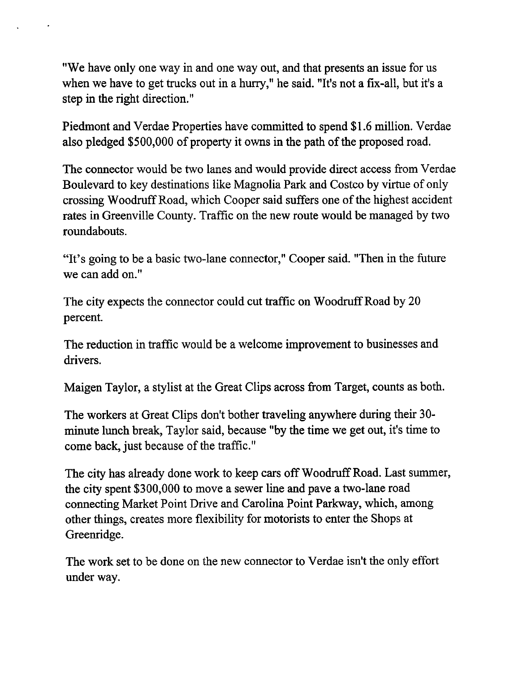"We have only one way in and one way out, and that presents an issue for us when we have to get trucks out in a hurry," he said. "It's not a fix-all, but it's a step in the right direction."

Piedmont and Verdae Properties have committed to spend \$1.6 million. Verdae also pledged \$500,000 of property it owns in the path of the proposed road.

The connector would be two lanes and would provide direct access from Verdae Boulevard to key destinations like Magnolia Park and Costco by virtue of only crossing Woodruff Road, which Cooper said suffers one of the highest accident rates in Greenville County. Traffic on the new route would be managed by two roundabouts.

"It's going to be a basic two-lane connector," Cooper said. "Then in the future we can add on."

The city expects the connector could cut traffic on Woodruff Road by 20 percent.

The reduction in traffic would be a welcome improvement to businesses and drivers.

Maigen Taylor, a stylist at the Great Clips across from Target, counts as both.

The workers at Great Clips don't bother traveling anywhere during their 30minute lunch break, Taylor said, because "by the time we get out, it's time to come back, just because of the traffic."

The city has already done work to keep cars off Woodruff Road. Last summer, the city spent \$300,000 to move a sewer line and pave a two-lane road connecting Market Point Drive and Carolina Point Parkway, which, among other things, creates more flexibility for motorists to enter the Shops at Greenridge.

The work set to be done on the new connector to Verdae isn't the only effort under way.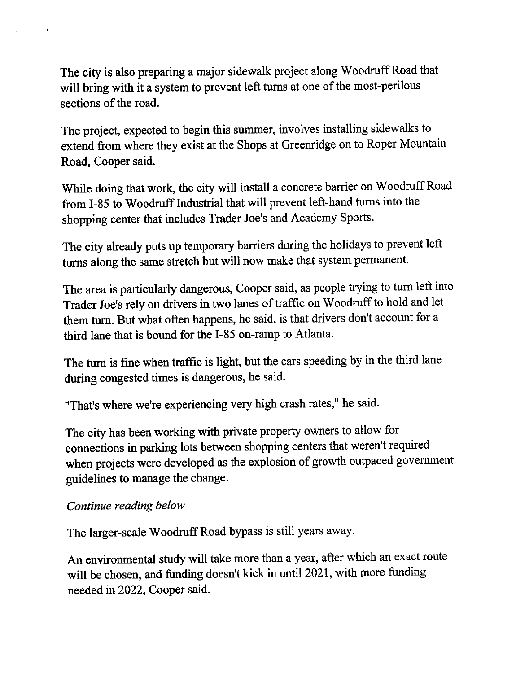The city is also preparing a major sidewalk project along Woodruff Road that will bring with it a system to prevent left turns at one of the most-perilous sections of the road.

The project, expected to begin this summer, involves installing sidewalks to extend from where they exist at the Shops at Greenridge on to Roper Mountain Road, Cooper said.

While doing that work, the city will install a concrete barrier on Woodruff Road from I-85 to Woodruff Industrial that will prevent left-hand turns into the shopping center that includes Trader Joe's and Academy Sports.

The city already puts up temporary barriers during the holidays to prevent left turns along the same stretch but will now make that system permanent.

The area is particularly dangerous, Cooper said, as people trying to turn left into Trader Joe's rely on drivers in two lanes of traffic on Woodruff to hold and let them turn. But what often happens, he said, is that drivers don't account for a third lane that is bound for the I-85 on-ramp to Atlanta.

The turn is fine when traffic is light, but the cars speeding by in the third lane during congested times is dangerous, he said.

"That's where we're experiencing very high crash rates," he said.

The city has been working with private property owners to allow for connections in parking lots between shopping centers that weren't required when projects were developed as the explosion of growth outpaced government guidelines to manage the change.

### Continue reading below

The larger-scale Woodruff Road bypass is still years away.

An environmental study will take more than a year, after which an exact route will be chosen, and funding doesn't kick in until 2021, with more funding needed in 2022, Cooper said.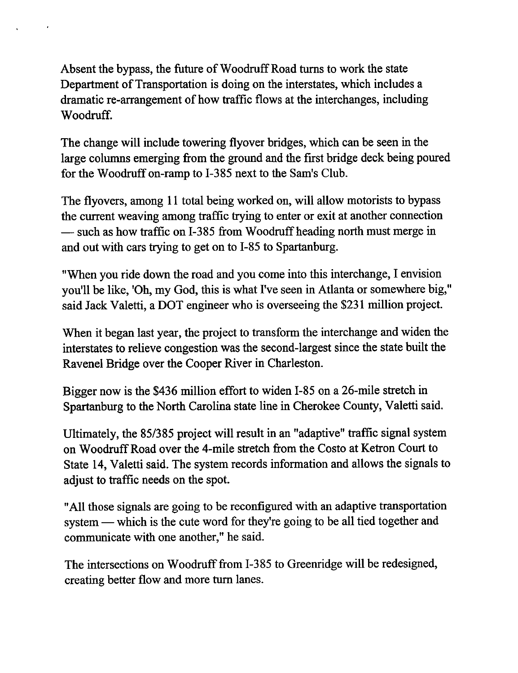Absent the bypass, the future of Woodruff Road turns to work the state Department of Transportation is doing on the interstates, which includes a dramatic re-arrangement of how traffic flows at the interchanges, including Woodruff.

The change will include towering flyover bridges, which can be seen in the large columns emerging from the ground and the first bridge deck being poured for the Woodruff on-ramp to I-385 next to the Sam's Club.

The flyovers, among 11 total being worked on, will allow motorists to bypass the current weaving among traffic trying to enter or exit at another connection - such as how traffic on I-385 from Woodruff heading north must merge in and out with cars trying to get on to I-85 to Spartanburg.

"When you ride down the road and you come into this interchange, I envision you'll be like, 'Oh, my God, this is what I've seen in Atlanta or somewhere big," said Jack Valetti, a DOT engineer who is overseeing the \$231 million project.

When it began last year, the project to transform the interchange and widen the interstates to relieve congestion was the second-largest since the state built the Ravenel Bridge over the Cooper River in Charleston.

Bigger now is the \$436 million effort to widen I-85 on a 26-mile stretch in Spartanburg to the North Carolina state line in Cherokee County, Valetti said.

Ultimately, the 85/385 project will result in an "adaptive" traffic signal system on Woodruff Road over the 4-mile stretch from the Costo at Ketron Court to State 14, Valetti said. The system records information and allows the signals to adjust to traffic needs on the spot.

"All those signals are going to be reconfigured with an adaptive transportation system — which is the cute word for they're going to be all tied together and communicate with one another," he said.

The intersections on Woodruff from I-385 to Greenridge will be redesigned, creating better flow and more turn lanes.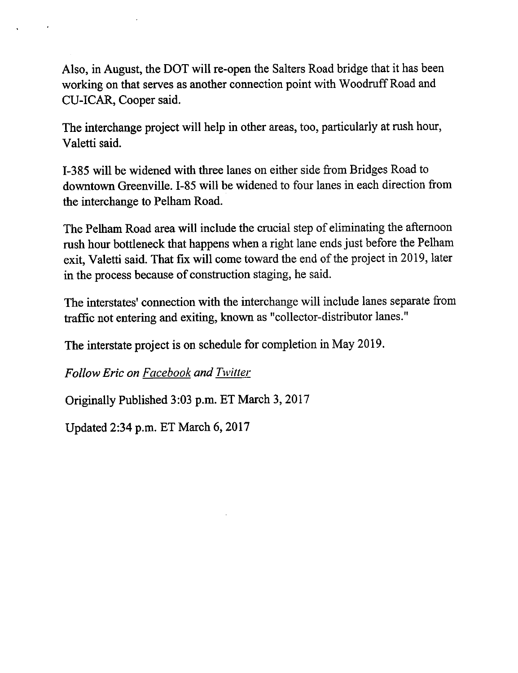Also, in August, the DOT will re-open the Salters Road bridge that it has been working on that serves as another connection point with Woodruff Road and CU-ICAR, Cooper said.

The interchange project will help in other areas, too, particularly at rush hour, Valetti said.

I-385 will be widened with three lanes on either side from Bridges Road to downtown Greenville. I-85 will be widened to four lanes in each direction from the interchange to Pelham Road.

The Pelham Road area will include the crucial step of eliminating the afternoon rush hour bottleneck that happens when a right lane ends just before the Pelham exit, Valetti said. That fix will come toward the end of the project in 2019, later in the process because of construction staging, he said.

The interstates' connection with the interchange will include lanes separate from traffic not entering and exiting, known as "collector-distributor lanes."

The interstate project is on schedule for completion in May 2019.

**Follow Eric on Facebook and Twitter** 

Originally Published 3:03 p.m. ET March 3, 2017

Updated 2:34 p.m. ET March 6, 2017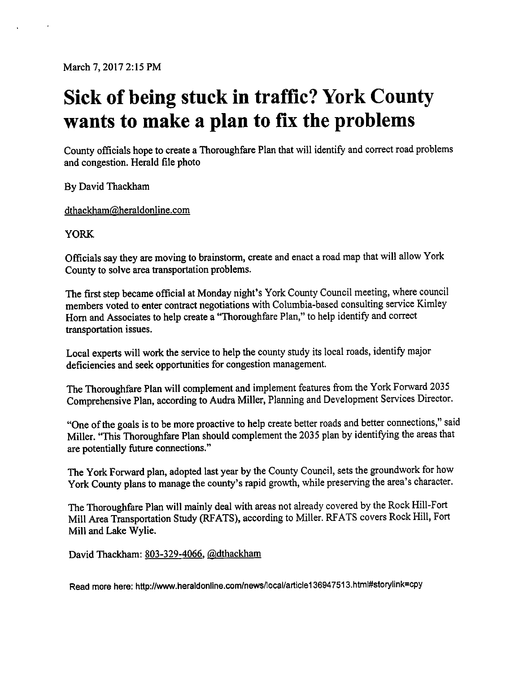March 7, 2017 2:15 PM

# Sick of being stuck in traffic? York County wants to make a plan to fix the problems

County officials hope to create a Thoroughfare Plan that will identify and correct road problems and congestion. Herald file photo

By David Thackham

dthackham@heraldonline.com

**YORK** 

Officials say they are moving to brainstorm, create and enact a road map that will allow York County to solve area transportation problems.

The first step became official at Monday night's York County Council meeting, where council members voted to enter contract negotiations with Columbia-based consulting service Kimley Horn and Associates to help create a "Thoroughfare Plan," to help identify and correct transportation issues.

Local experts will work the service to help the county study its local roads, identify major deficiencies and seek opportunities for congestion management.

The Thoroughfare Plan will complement and implement features from the York Forward 2035 Comprehensive Plan, according to Audra Miller, Planning and Development Services Director.

"One of the goals is to be more proactive to help create better roads and better connections," said Miller. "This Thoroughfare Plan should complement the 2035 plan by identifying the areas that are potentially future connections."

The York Forward plan, adopted last year by the County Council, sets the groundwork for how York County plans to manage the county's rapid growth, while preserving the area's character.

The Thoroughfare Plan will mainly deal with areas not already covered by the Rock Hill-Fort Mill Area Transportation Study (RFATS), according to Miller. RFATS covers Rock Hill, Fort Mill and Lake Wylie.

David Thackham: 803-329-4066, @dthackham

Read more here: http://www.heraldonline.com/news/local/article136947513.html#storylink=cpy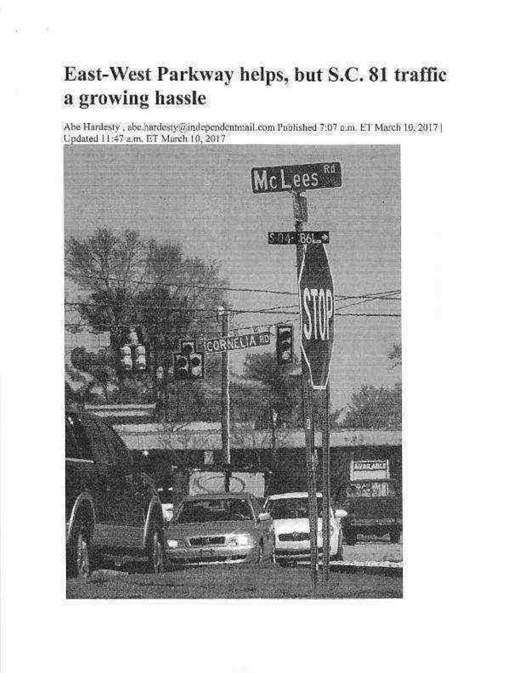# East-West Parkway helps, but S.C. 81 traffic a growing hassle

98 25

Abe Hardesty, abe hardesty@independentmail.com Published 7:07 n.m. ET March 10, 2017 | Updated 11:47 a.m. ET March 10, 2017

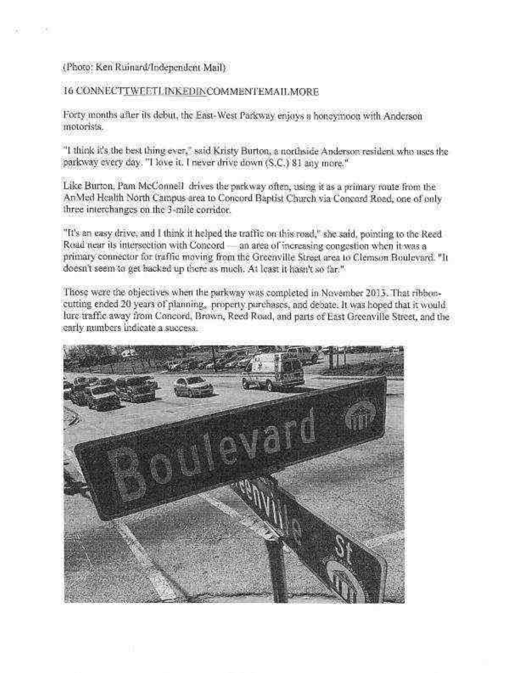### (Photo: Ken Ruinard/Independent Mail)

CK.

### 16 CONNECTTWEETLINKEDINCOMMENTEMAILMORE

Forty months after its debut, the East-West Parkway enjoys a honeymoon with Anderson motorists.

"I think it's the best thing ever," said Kristy Burton, a northside Anderson resident who uses the parkway every day. "I love it, I never drive down (S.C.) 81 any more."

Like Burton, Pam McConnell drives the parkway often, using it as a primary route from the An Med Health North Campus area to Concord Baptist Church via Concord Road, one of only three interchanges on the 3-mile corridor.

"It's an easy drive, and I think it helped the traffic on this road," she said, pointing to the Reed Road near its intersection with Concord - an area of increasing congestion when it was a primary connector for traffic moving from the Greenville Street area to Clemson Boulevard. "It doesn't seem to get backed up there as much. At least it hasn't so far."

Those were the objectives when the parkway was completed in November 2013. That ribboncutting ended 20 years of planning, property parchases, and debate. It was hoped that it would, lure traffic away from Concord, Brown, Reed Road, and parts of East Greenville Street, and the early numbers indicate a success.

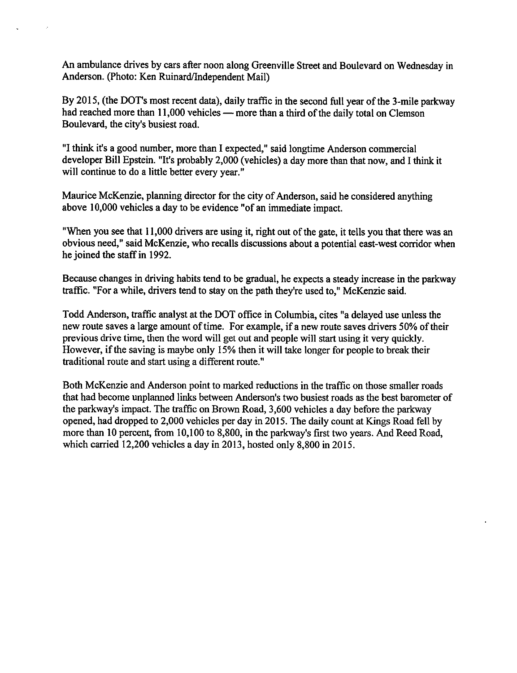An ambulance drives by cars after noon along Greenville Street and Boulevard on Wednesday in Anderson. (Photo: Ken Ruinard/Independent Mail)

By 2015, (the DOT's most recent data), daily traffic in the second full year of the 3-mile parkway had reached more than 11,000 vehicles — more than a third of the daily total on Clemson Boulevard, the city's busiest road.

"I think it's a good number, more than I expected," said longtime Anderson commercial developer Bill Epstein. "It's probably 2,000 (vehicles) a day more than that now, and I think it will continue to do a little better every year."

Maurice McKenzie, planning director for the city of Anderson, said he considered anything above 10,000 vehicles a day to be evidence "of an immediate impact.

"When you see that 11,000 drivers are using it, right out of the gate, it tells you that there was an obvious need," said McKenzie, who recalls discussions about a potential east-west corridor when he joined the staff in 1992.

Because changes in driving habits tend to be gradual, he expects a steady increase in the parkway traffic. "For a while, drivers tend to stay on the path they're used to." McKenzie said.

Todd Anderson, traffic analyst at the DOT office in Columbia, cites "a delayed use unless the new route saves a large amount of time. For example, if a new route saves drivers 50% of their previous drive time, then the word will get out and people will start using it very quickly. However, if the saving is maybe only 15% then it will take longer for people to break their traditional route and start using a different route."

Both McKenzie and Anderson point to marked reductions in the traffic on those smaller roads that had become unplanned links between Anderson's two busiest roads as the best barometer of the parkway's impact. The traffic on Brown Road, 3,600 vehicles a day before the parkway opened, had dropped to 2,000 vehicles per day in 2015. The daily count at Kings Road fell by more than 10 percent, from 10,100 to 8,800, in the parkway's first two years. And Reed Road, which carried  $12,200$  vehicles a day in 2013, hosted only 8,800 in 2015.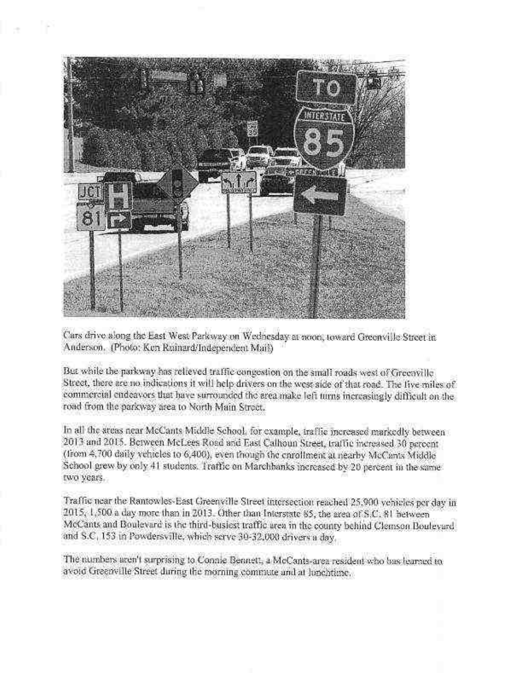

Cars drive along the East West Parkway on Wednesday at noon, toward Greenville Street in Anderson. (Photo: Ken Rainard/Independent Mail)

But while the parkway has relieved traffic congestion on the small roads west of Greenville Street, there are no indications it will help drivers on the west side of that road. The five miles of commercial endeavors that have surrounded the area make left turns increasingly difficult on the road from the parkway area to North Main Street.

In all the ateas near McCants Middle School, for example, iraffic increased markedly between 2013 and 2015. Between McLees Road and East Calhoun Street, traffic increased 30 percent (from 4,700 daily vehicles to 6,400), even though the caroliment at nearby McCants Middle School grew by only 41 students. Traffic on Marchbanks increased by 20 percent in the same two years.

Traffic near the Rantowles-East Greenville Street intersection reached 25,900 vehicles per day in 2015. 1.500 a day more than in 2013. Other than Interstate 85, the area of S.C. 81 between McCants and Boulevard is the third-busiest traffic area in the county behind Clemson Boulevard and S.C. 153 in Powdersville, which serve 30-32,000 drivers a day.

The numbers aren't surprising to Connie Bennett, a McCants-area resident who has learned to avoid Greenville Street during the morning commute and at Junchtime.